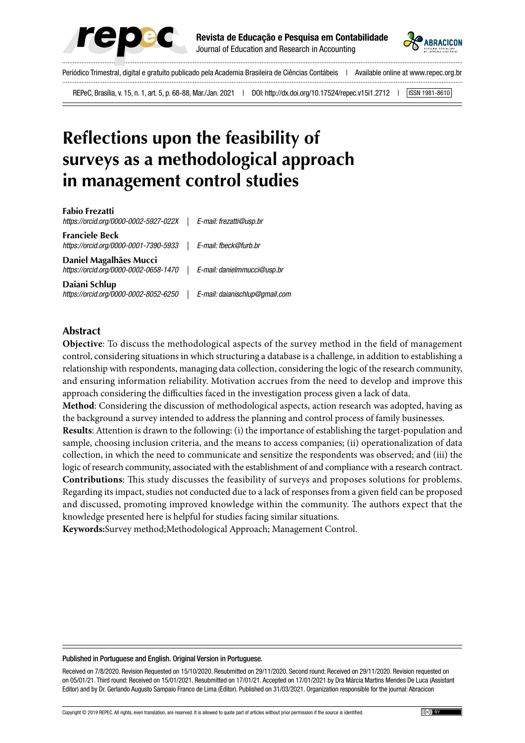



Periódico Trimestral, digital e gratuito publicado pela Academia Brasileira de Ciências Contábeis | Available online at www.repec.org.br 

REPeC, Brasília, v. 15, n. 1, art. 5, p. 68-88, Mar./Jan. 2021 | DOI: http://dx.doi.org/10.17524/repec.v15i1.2712 | [ISSN 1981-8610]

# **Reflections upon the feasibility of surveys as a methodological approach in management control studies**

**Fabio Frezatti** *https://orcid.org/0000-0002-5927-022X | E-mail: frezatti@usp.br* **Franciele Beck** *https://orcid.org/0000-0001-7390-5933 | E-mail: fbeck@furb.br* **Daniel Magalhães Mucci** *https://orcid.org/0000-0002-0658-1470 | E-mail: danielmmucci@usp.br* **Daiani Schlup** *https://orcid.org/0000-0002-8052-6250 | E-mail: daianischlup@gmail.com*

#### **Abstract**

**Objective**: To discuss the methodological aspects of the survey method in the field of management control, considering situations in which structuring a database is a challenge, in addition to establishing a relationship with respondents, managing data collection, considering the logic of the research community, and ensuring information reliability. Motivation accrues from the need to develop and improve this approach considering the difficulties faced in the investigation process given a lack of data.

**Method**: Considering the discussion of methodological aspects, action research was adopted, having as the background a survey intended to address the planning and control process of family businesses.

**Results**: Attention is drawn to the following: (i) the importance of establishing the target-population and sample, choosing inclusion criteria, and the means to access companies; (ii) operationalization of data collection, in which the need to communicate and sensitize the respondents was observed; and (iii) the logic of research community, associated with the establishment of and compliance with a research contract. **Contributions**: This study discusses the feasibility of surveys and proposes solutions for problems. Regarding its impact, studies not conducted due to a lack of responses from a given field can be proposed and discussed, promoting improved knowledge within the community. The authors expect that the knowledge presented here is helpful for studies facing similar situations.

**Keywords:**Survey method;Methodological Approach; Management Control.

#### Published in Portuguese and English. Original Version in Portuguese.

Received on 7/8/2020. Revision Requested on 15/10/2020. Resubmitted on 29/11/2020. Second round: Received on 29/11/2020. Revision requested on on 05/01/21. Third round: Received on 15/01/2021. Resubmitted on 17/01/21. Accepted on 17/01/2021 by Dra Márcia Martins Mendes De Luca (Assistant Editor) and by Dr. Gerlando Augusto Sampaio Franco de Lima (Editor). Published on 31/03/2021. Organization responsible for the journal: Abracicon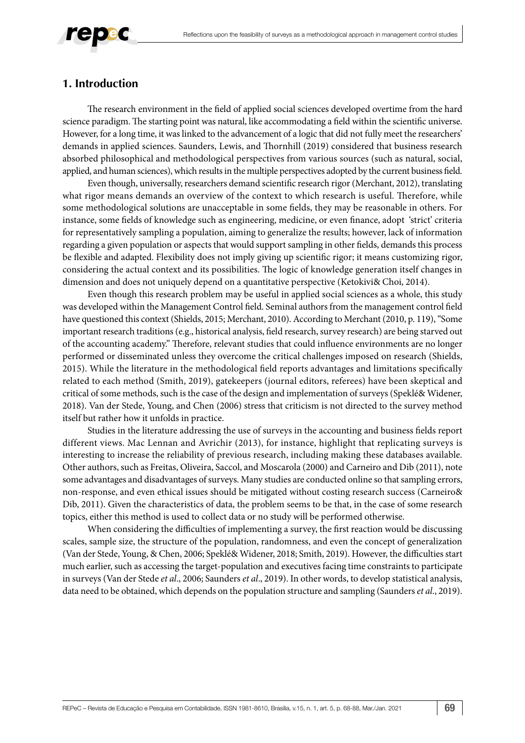# **1. Introduction**

The research environment in the field of applied social sciences developed overtime from the hard science paradigm. The starting point was natural, like accommodating a field within the scientific universe. However, for a long time, it was linked to the advancement of a logic that did not fully meet the researchers' demands in applied sciences. Saunders, Lewis, and Thornhill (2019) considered that business research absorbed philosophical and methodological perspectives from various sources (such as natural, social, applied, and human sciences), which results in the multiple perspectives adopted by the current business field.

Even though, universally, researchers demand scientific research rigor (Merchant, 2012), translating what rigor means demands an overview of the context to which research is useful. Therefore, while some methodological solutions are unacceptable in some fields, they may be reasonable in others. For instance, some fields of knowledge such as engineering, medicine, or even finance, adopt 'strict' criteria for representatively sampling a population, aiming to generalize the results; however, lack of information regarding a given population or aspects that would support sampling in other fields, demands this process be flexible and adapted. Flexibility does not imply giving up scientific rigor; it means customizing rigor, considering the actual context and its possibilities. The logic of knowledge generation itself changes in dimension and does not uniquely depend on a quantitative perspective (Ketokivi& Choi, 2014).

Even though this research problem may be useful in applied social sciences as a whole, this study was developed within the Management Control field. Seminal authors from the management control field have questioned this context (Shields, 2015; Merchant, 2010). According to Merchant (2010, p. 119), "Some important research traditions (e.g., historical analysis, field research, survey research) are being starved out of the accounting academy." Therefore, relevant studies that could influence environments are no longer performed or disseminated unless they overcome the critical challenges imposed on research (Shields, 2015). While the literature in the methodological field reports advantages and limitations specifically related to each method (Smith, 2019), gatekeepers (journal editors, referees) have been skeptical and critical of some methods, such is the case of the design and implementation of surveys (Speklé& Widener, 2018). Van der Stede, Young, and Chen (2006) stress that criticism is not directed to the survey method itself but rather how it unfolds in practice.

Studies in the literature addressing the use of surveys in the accounting and business fields report different views. Mac Lennan and Avrichir (2013), for instance, highlight that replicating surveys is interesting to increase the reliability of previous research, including making these databases available. Other authors, such as Freitas, Oliveira, Saccol, and Moscarola (2000) and Carneiro and Dib (2011), note some advantages and disadvantages of surveys. Many studies are conducted online so that sampling errors, non-response, and even ethical issues should be mitigated without costing research success (Carneiro& Dib, 2011). Given the characteristics of data, the problem seems to be that, in the case of some research topics, either this method is used to collect data or no study will be performed otherwise.

When considering the difficulties of implementing a survey, the first reaction would be discussing scales, sample size, the structure of the population, randomness, and even the concept of generalization (Van der Stede, Young, & Chen, 2006; Speklé& Widener, 2018; Smith, 2019). However, the difficulties start much earlier, such as accessing the target-population and executives facing time constraints to participate in surveys (Van der Stede *et al*., 2006; Saunders *et al*., 2019). In other words, to develop statistical analysis, data need to be obtained, which depends on the population structure and sampling (Saunders *et al*., 2019).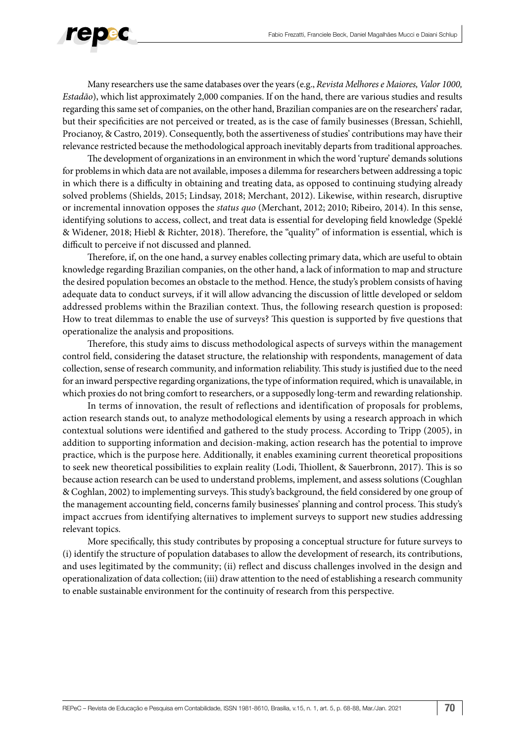

Many researchers use the same databases over the years (e.g., *Revista Melhores e Maiores, Valor 1000, Estadão*), which list approximately 2,000 companies. If on the hand, there are various studies and results regarding this same set of companies, on the other hand, Brazilian companies are on the researchers' radar, but their specificities are not perceived or treated, as is the case of family businesses (Bressan, Schiehll, Procianoy, & Castro, 2019). Consequently, both the assertiveness of studies' contributions may have their relevance restricted because the methodological approach inevitably departs from traditional approaches.

The development of organizations in an environment in which the word 'rupture' demands solutions for problems in which data are not available, imposes a dilemma for researchers between addressing a topic in which there is a difficulty in obtaining and treating data, as opposed to continuing studying already solved problems (Shields, 2015; Lindsay, 2018; Merchant, 2012). Likewise, within research, disruptive or incremental innovation opposes the *status quo* (Merchant, 2012; 2010; Ribeiro, 2014). In this sense, identifying solutions to access, collect, and treat data is essential for developing field knowledge (Speklé & Widener, 2018; Hiebl & Richter, 2018). Therefore, the "quality" of information is essential, which is difficult to perceive if not discussed and planned.

Therefore, if, on the one hand, a survey enables collecting primary data, which are useful to obtain knowledge regarding Brazilian companies, on the other hand, a lack of information to map and structure the desired population becomes an obstacle to the method. Hence, the study's problem consists of having adequate data to conduct surveys, if it will allow advancing the discussion of little developed or seldom addressed problems within the Brazilian context. Thus, the following research question is proposed: How to treat dilemmas to enable the use of surveys? This question is supported by five questions that operationalize the analysis and propositions.

Therefore, this study aims to discuss methodological aspects of surveys within the management control field, considering the dataset structure, the relationship with respondents, management of data collection, sense of research community, and information reliability. This study is justified due to the need for an inward perspective regarding organizations, the type of information required, which is unavailable, in which proxies do not bring comfort to researchers, or a supposedly long-term and rewarding relationship.

In terms of innovation, the result of reflections and identification of proposals for problems, action research stands out, to analyze methodological elements by using a research approach in which contextual solutions were identified and gathered to the study process. According to Tripp (2005), in addition to supporting information and decision-making, action research has the potential to improve practice, which is the purpose here. Additionally, it enables examining current theoretical propositions to seek new theoretical possibilities to explain reality (Lodi, Thiollent, & Sauerbronn, 2017). This is so because action research can be used to understand problems, implement, and assess solutions (Coughlan & Coghlan, 2002) to implementing surveys. This study's background, the field considered by one group of the management accounting field, concerns family businesses' planning and control process. This study's impact accrues from identifying alternatives to implement surveys to support new studies addressing relevant topics.

More specifically, this study contributes by proposing a conceptual structure for future surveys to (i) identify the structure of population databases to allow the development of research, its contributions, and uses legitimated by the community; (ii) reflect and discuss challenges involved in the design and operationalization of data collection; (iii) draw attention to the need of establishing a research community to enable sustainable environment for the continuity of research from this perspective.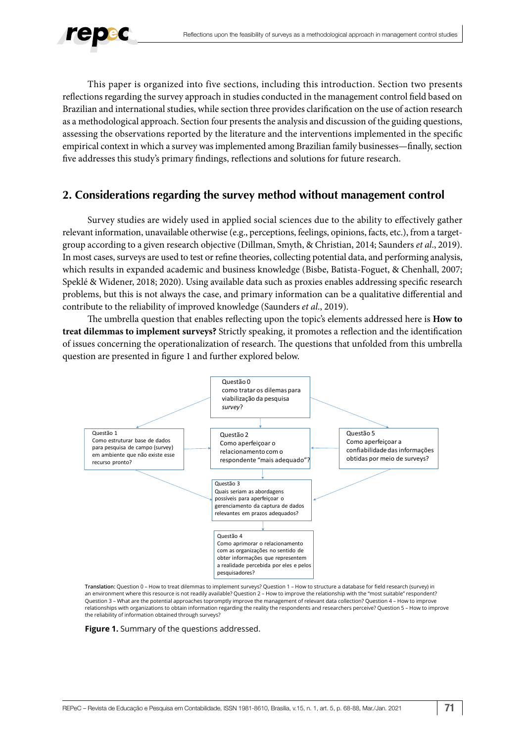

This paper is organized into five sections, including this introduction. Section two presents reflections regarding the survey approach in studies conducted in the management control field based on Brazilian and international studies, while section three provides clarification on the use of action research as a methodological approach. Section four presents the analysis and discussion of the guiding questions, assessing the observations reported by the literature and the interventions implemented in the specific empirical context in which a survey was implemented among Brazilian family businesses—finally, section five addresses this study's primary findings, reflections and solutions for future research.

# **2. Considerations regarding the survey method without management control**

Survey studies are widely used in applied social sciences due to the ability to effectively gather relevant information, unavailable otherwise (e.g., perceptions, feelings, opinions, facts, etc.), from a targetgroup according to a given research objective (Dillman, Smyth, & Christian, 2014; Saunders *et al*., 2019). In most cases, surveys are used to test or refine theories, collecting potential data, and performing analysis, which results in expanded academic and business knowledge (Bisbe, Batista-Foguet, & Chenhall, 2007; Speklé & Widener, 2018; 2020). Using available data such as proxies enables addressing specific research problems, but this is not always the case, and primary information can be a qualitative differential and contribute to the reliability of improved knowledge (Saunders *et al*., 2019).

The umbrella question that enables reflecting upon the topic's elements addressed here is **How to treat dilemmas to implement surveys?** Strictly speaking, it promotes a reflection and the identification of issues concerning the operationalization of research. The questions that unfolded from this umbrella question are presented in figure 1 and further explored below.



**Translation:** Question 0 – How to treat dilemmas to implement surveys? Question 1 – How to structure a database for field research (survey) in an environment where this resource is not readily available? Question 2 – How to improve the relationship with the "most suitable" respondent? Question 3 – What are the potential approaches topromptly improve the management of relevant data collection? Question 4 – How to improve relationships with organizations to obtain information regarding the reality the respondents and researchers perceive? Question 5 – How to improve the reliability of information obtained through surveys?

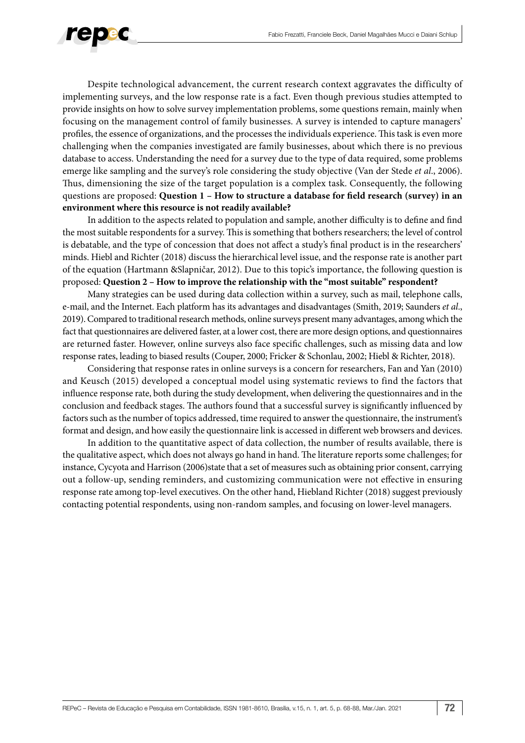

Despite technological advancement, the current research context aggravates the difficulty of implementing surveys, and the low response rate is a fact. Even though previous studies attempted to provide insights on how to solve survey implementation problems, some questions remain, mainly when focusing on the management control of family businesses. A survey is intended to capture managers' profiles, the essence of organizations, and the processes the individuals experience. This task is even more challenging when the companies investigated are family businesses, about which there is no previous database to access. Understanding the need for a survey due to the type of data required, some problems emerge like sampling and the survey's role considering the study objective (Van der Stede *et al*., 2006). Thus, dimensioning the size of the target population is a complex task. Consequently, the following questions are proposed: **Question 1 – How to structure a database for field research (survey) in an environment where this resource is not readily available?**

In addition to the aspects related to population and sample, another difficulty is to define and find the most suitable respondents for a survey. This is something that bothers researchers; the level of control is debatable, and the type of concession that does not affect a study's final product is in the researchers' minds. Hiebl and Richter (2018) discuss the hierarchical level issue, and the response rate is another part of the equation (Hartmann &Slapničar, 2012). Due to this topic's importance, the following question is proposed: **Question 2 – How to improve the relationship with the "most suitable" respondent?**

Many strategies can be used during data collection within a survey, such as mail, telephone calls, e-mail, and the Internet. Each platform has its advantages and disadvantages (Smith, 2019; Saunders *et al*., 2019). Compared to traditional research methods, online surveys present many advantages, among which the fact that questionnaires are delivered faster, at a lower cost, there are more design options, and questionnaires are returned faster. However, online surveys also face specific challenges, such as missing data and low response rates, leading to biased results (Couper, 2000; Fricker & Schonlau, 2002; Hiebl & Richter, 2018).

Considering that response rates in online surveys is a concern for researchers, Fan and Yan (2010) and Keusch (2015) developed a conceptual model using systematic reviews to find the factors that influence response rate, both during the study development, when delivering the questionnaires and in the conclusion and feedback stages. The authors found that a successful survey is significantly influenced by factors such as the number of topics addressed, time required to answer the questionnaire, the instrument's format and design, and how easily the questionnaire link is accessed in different web browsers and devices.

In addition to the quantitative aspect of data collection, the number of results available, there is the qualitative aspect, which does not always go hand in hand. The literature reports some challenges; for instance, Cycyota and Harrison (2006)state that a set of measures such as obtaining prior consent, carrying out a follow-up, sending reminders, and customizing communication were not effective in ensuring response rate among top-level executives. On the other hand, Hiebland Richter (2018) suggest previously contacting potential respondents, using non-random samples, and focusing on lower-level managers.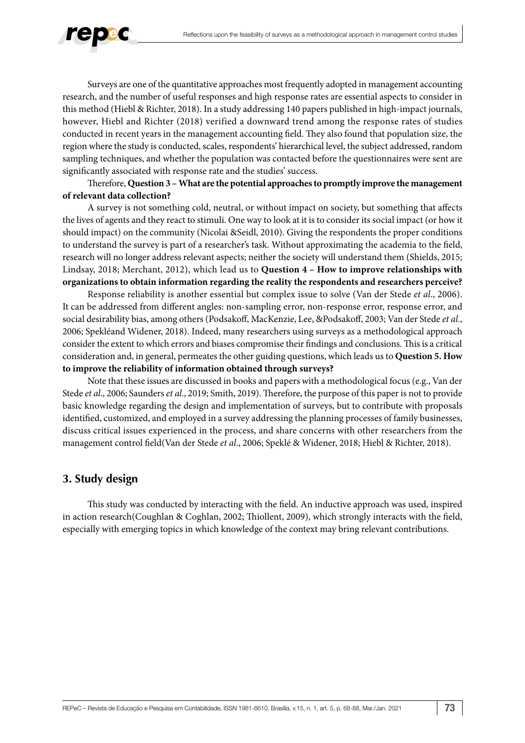

Surveys are one of the quantitative approaches most frequently adopted in management accounting research, and the number of useful responses and high response rates are essential aspects to consider in this method (Hiebl & Richter, 2018). In a study addressing 140 papers published in high-impact journals, however, Hiebl and Richter (2018) verified a downward trend among the response rates of studies conducted in recent years in the management accounting field. They also found that population size, the region where the study is conducted, scales, respondents' hierarchical level, the subject addressed, random sampling techniques, and whether the population was contacted before the questionnaires were sent are significantly associated with response rate and the studies' success.

#### Therefore, **Question 3 – What are the potential approaches to promptly improve the management of relevant data collection?**

A survey is not something cold, neutral, or without impact on society, but something that affects the lives of agents and they react to stimuli. One way to look at it is to consider its social impact (or how it should impact) on the community (Nicolai &Seidl, 2010). Giving the respondents the proper conditions to understand the survey is part of a researcher's task. Without approximating the academia to the field, research will no longer address relevant aspects; neither the society will understand them (Shields, 2015; Lindsay, 2018; Merchant, 2012), which lead us to **Question 4 – How to improve relationships with organizations to obtain information regarding the reality the respondents and researchers perceive?**

Response reliability is another essential but complex issue to solve (Van der Stede *et al*., 2006). It can be addressed from different angles: non-sampling error, non-response error, response error, and social desirability bias, among others (Podsakoff, MacKenzie, Lee, &Podsakoff, 2003; Van der Stede *et al*., 2006; Spekléand Widener, 2018). Indeed, many researchers using surveys as a methodological approach consider the extent to which errors and biases compromise their findings and conclusions. This is a critical consideration and, in general, permeates the other guiding questions, which leads us to **Question 5. How to improve the reliability of information obtained through surveys?**

Note that these issues are discussed in books and papers with a methodological focus (e.g., Van der Stede *et al.*, 2006; Saunders *et al.*, 2019; Smith, 2019). Therefore, the purpose of this paper is not to provide basic knowledge regarding the design and implementation of surveys, but to contribute with proposals identified, customized, and employed in a survey addressing the planning processes of family businesses, discuss critical issues experienced in the process, and share concerns with other researchers from the management control field(Van der Stede *et al*., 2006; Speklé & Widener, 2018; Hiebl & Richter, 2018).

#### **3. Study design**

This study was conducted by interacting with the field. An inductive approach was used, inspired in action research(Coughlan & Coghlan, 2002; Thiollent, 2009), which strongly interacts with the field, especially with emerging topics in which knowledge of the context may bring relevant contributions.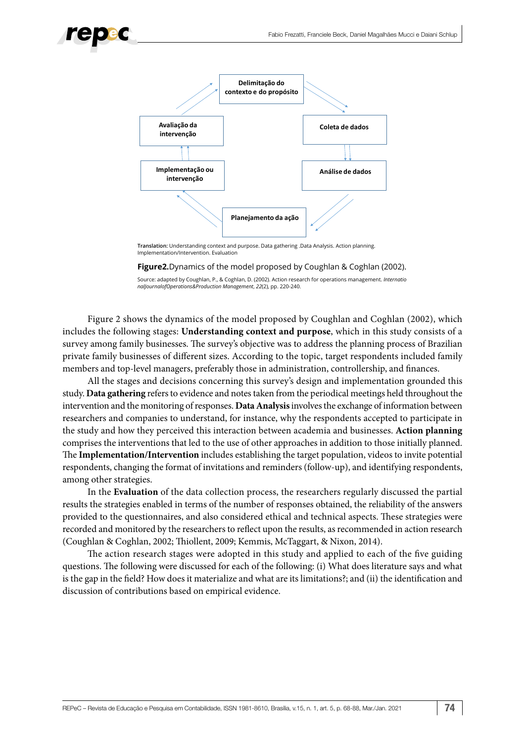



**Translation:** Understanding context and purpose. Data gathering .Data Analysis. Action planning. Implementation/Intervention. Evaluation

#### **Figure2.** Dynamics of the model proposed by Coughlan & Coghlan (2002).

Source: adapted by Coughlan, P., & Coghlan, D. (2002). Action research for operations management. *Internatio nalJournalofOperations&Production Management*, *22*(2), pp. 220-240.

Figure 2 shows the dynamics of the model proposed by Coughlan and Coghlan (2002), which includes the following stages: **Understanding context and purpose**, which in this study consists of a survey among family businesses. The survey's objective was to address the planning process of Brazilian private family businesses of different sizes. According to the topic, target respondents included family members and top-level managers, preferably those in administration, controllership, and finances.

All the stages and decisions concerning this survey's design and implementation grounded this study. **Data gathering** refers to evidence and notes taken from the periodical meetings held throughout the intervention and the monitoring of responses. **Data Analysis** involves the exchange of information between researchers and companies to understand, for instance, why the respondents accepted to participate in the study and how they perceived this interaction between academia and businesses. **Action planning**  comprises the interventions that led to the use of other approaches in addition to those initially planned. The **Implementation/Intervention** includes establishing the target population, videos to invite potential respondents, changing the format of invitations and reminders (follow-up), and identifying respondents, among other strategies.

In the **Evaluation** of the data collection process, the researchers regularly discussed the partial results the strategies enabled in terms of the number of responses obtained, the reliability of the answers provided to the questionnaires, and also considered ethical and technical aspects. These strategies were recorded and monitored by the researchers to reflect upon the results, as recommended in action research (Coughlan & Coghlan, 2002; Thiollent, 2009; Kemmis, McTaggart, & Nixon, 2014).

The action research stages were adopted in this study and applied to each of the five guiding questions. The following were discussed for each of the following: (i) What does literature says and what is the gap in the field? How does it materialize and what are its limitations?; and (ii) the identification and discussion of contributions based on empirical evidence.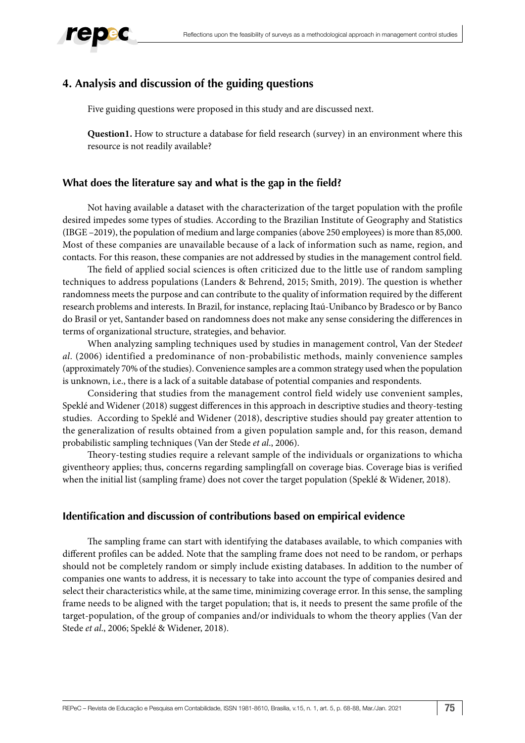

# **4. Analysis and discussion of the guiding questions**

Five guiding questions were proposed in this study and are discussed next.

**Question1.** How to structure a database for field research (survey) in an environment where this resource is not readily available?

## **What does the literature say and what is the gap in the field?**

Not having available a dataset with the characterization of the target population with the profile desired impedes some types of studies. According to the Brazilian Institute of Geography and Statistics (IBGE –2019), the population of medium and large companies (above 250 employees) is more than 85,000. Most of these companies are unavailable because of a lack of information such as name, region, and contacts. For this reason, these companies are not addressed by studies in the management control field.

The field of applied social sciences is often criticized due to the little use of random sampling techniques to address populations (Landers & Behrend, 2015; Smith, 2019). The question is whether randomness meets the purpose and can contribute to the quality of information required by the different research problems and interests. In Brazil, for instance, replacing Itaú-Unibanco by Bradesco or by Banco do Brasil or yet, Santander based on randomness does not make any sense considering the differences in terms of organizational structure, strategies, and behavior.

When analyzing sampling techniques used by studies in management control, Van der Stede*et al*. (2006) identified a predominance of non-probabilistic methods, mainly convenience samples (approximately 70% of the studies). Convenience samples are a common strategy used when the population is unknown, i.e., there is a lack of a suitable database of potential companies and respondents.

Considering that studies from the management control field widely use convenient samples, Speklé and Widener (2018) suggest differences in this approach in descriptive studies and theory-testing studies. According to Speklé and Widener (2018), descriptive studies should pay greater attention to the generalization of results obtained from a given population sample and, for this reason, demand probabilistic sampling techniques (Van der Stede *et al*., 2006).

Theory-testing studies require a relevant sample of the individuals or organizations to whicha giventheory applies; thus, concerns regarding samplingfall on coverage bias. Coverage bias is verified when the initial list (sampling frame) does not cover the target population (Speklé & Widener, 2018).

# **Identification and discussion of contributions based on empirical evidence**

The sampling frame can start with identifying the databases available, to which companies with different profiles can be added. Note that the sampling frame does not need to be random, or perhaps should not be completely random or simply include existing databases. In addition to the number of companies one wants to address, it is necessary to take into account the type of companies desired and select their characteristics while, at the same time, minimizing coverage error. In this sense, the sampling frame needs to be aligned with the target population; that is, it needs to present the same profile of the target-population, of the group of companies and/or individuals to whom the theory applies (Van der Stede *et al*., 2006; Speklé & Widener, 2018).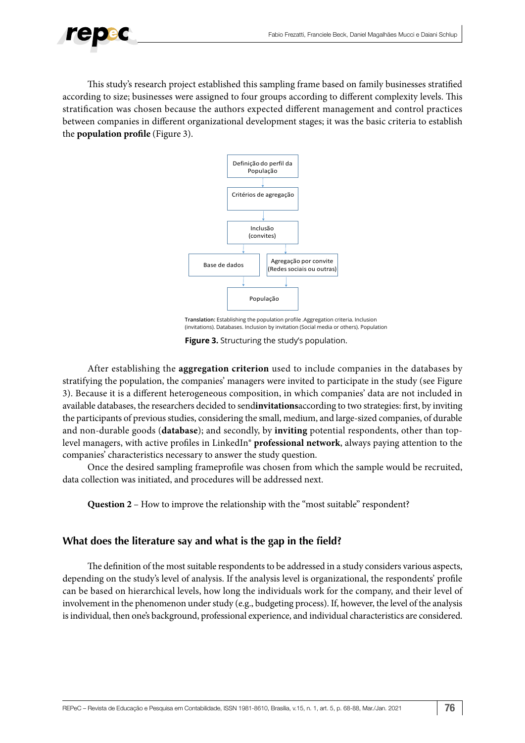

This study's research project established this sampling frame based on family businesses stratified according to size; businesses were assigned to four groups according to different complexity levels. This stratification was chosen because the authors expected different management and control practices between companies in different organizational development stages; it was the basic criteria to establish the **population profile** (Figure 3).



**Translation:** Establishing the population profile .Aggregation criteria. Inclusion (invitations). Databases. Inclusion by invitation (Social media or others). Population

**Figure 3.** Structuring the study's population.

After establishing the **aggregation criterion** used to include companies in the databases by stratifying the population, the companies' managers were invited to participate in the study (see Figure 3). Because it is a different heterogeneous composition, in which companies' data are not included in available databases, the researchers decided to send**invitations**according to two strategies: first, by inviting the participants of previous studies, considering the small, medium, and large-sized companies, of durable and non-durable goods (**database**); and secondly, by **inviting** potential respondents, other than toplevel managers, with active profiles in LinkedIn® **professional network**, always paying attention to the companies' characteristics necessary to answer the study question.

Once the desired sampling frameprofile was chosen from which the sample would be recruited, data collection was initiated, and procedures will be addressed next.

**Question 2** – How to improve the relationship with the "most suitable" respondent?

# **What does the literature say and what is the gap in the field?**

The definition of the most suitable respondents to be addressed in a study considers various aspects, depending on the study's level of analysis. If the analysis level is organizational, the respondents' profile can be based on hierarchical levels, how long the individuals work for the company, and their level of involvement in the phenomenon under study (e.g., budgeting process). If, however, the level of the analysis is individual, then one's background, professional experience, and individual characteristics are considered.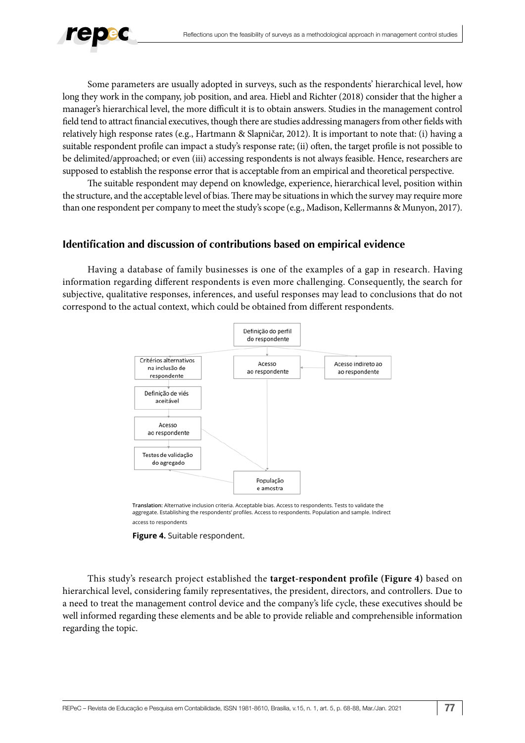

Some parameters are usually adopted in surveys, such as the respondents' hierarchical level, how long they work in the company, job position, and area. Hiebl and Richter (2018) consider that the higher a manager's hierarchical level, the more difficult it is to obtain answers. Studies in the management control field tend to attract financial executives, though there are studies addressing managers from other fields with relatively high response rates (e.g., Hartmann & Slapničar, 2012). It is important to note that: (i) having a suitable respondent profile can impact a study's response rate; (ii) often, the target profile is not possible to be delimited/approached; or even (iii) accessing respondents is not always feasible. Hence, researchers are supposed to establish the response error that is acceptable from an empirical and theoretical perspective.

The suitable respondent may depend on knowledge, experience, hierarchical level, position within the structure, and the acceptable level of bias. There may be situations in which the survey may require more than one respondent per company to meet the study's scope (e.g., Madison, Kellermanns & Munyon, 2017).

### **Identification and discussion of contributions based on empirical evidence**

Having a database of family businesses is one of the examples of a gap in research. Having information regarding different respondents is even more challenging. Consequently, the search for subjective, qualitative responses, inferences, and useful responses may lead to conclusions that do not correspond to the actual context, which could be obtained from different respondents.



**Translation:** Alternative inclusion criteria. Acceptable bias. Access to respondents. Tests to validate the aggregate. Establishing the respondents' profiles. Access to respondents. Population and sample. Indirect access to respondents

**Figure 4.** Suitable respondent.

This study's research project established the **target-respondent profile (Figure 4)** based on hierarchical level, considering family representatives, the president, directors, and controllers. Due to a need to treat the management control device and the company's life cycle, these executives should be well informed regarding these elements and be able to provide reliable and comprehensible information regarding the topic.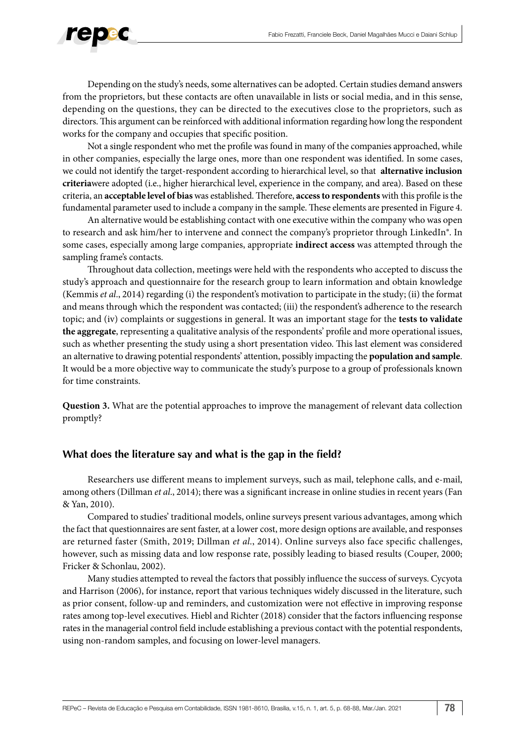

Depending on the study's needs, some alternatives can be adopted. Certain studies demand answers from the proprietors, but these contacts are often unavailable in lists or social media, and in this sense, depending on the questions, they can be directed to the executives close to the proprietors, such as directors. This argument can be reinforced with additional information regarding how long the respondent works for the company and occupies that specific position.

Not a single respondent who met the profile was found in many of the companies approached, while in other companies, especially the large ones, more than one respondent was identified. In some cases, we could not identify the target-respondent according to hierarchical level, so that **alternative inclusion criteria**were adopted (i.e., higher hierarchical level, experience in the company, and area). Based on these criteria, an **acceptable level of bias** was established. Therefore, **access to respondents** with this profile is the fundamental parameter used to include a company in the sample. These elements are presented in Figure 4.

An alternative would be establishing contact with one executive within the company who was open to research and ask him/her to intervene and connect the company's proprietor through LinkedIn®. In some cases, especially among large companies, appropriate **indirect access** was attempted through the sampling frame's contacts.

Throughout data collection, meetings were held with the respondents who accepted to discuss the study's approach and questionnaire for the research group to learn information and obtain knowledge (Kemmis *et al*., 2014) regarding (i) the respondent's motivation to participate in the study; (ii) the format and means through which the respondent was contacted; (iii) the respondent's adherence to the research topic; and (iv) complaints or suggestions in general. It was an important stage for the **tests to validate the aggregate**, representing a qualitative analysis of the respondents' profile and more operational issues, such as whether presenting the study using a short presentation video. This last element was considered an alternative to drawing potential respondents' attention, possibly impacting the **population and sample**. It would be a more objective way to communicate the study's purpose to a group of professionals known for time constraints.

**Question 3.** What are the potential approaches to improve the management of relevant data collection promptly?

#### **What does the literature say and what is the gap in the field?**

Researchers use different means to implement surveys, such as mail, telephone calls, and e-mail, among others (Dillman *et al*., 2014); there was a significant increase in online studies in recent years (Fan & Yan, 2010).

Compared to studies' traditional models, online surveys present various advantages, among which the fact that questionnaires are sent faster, at a lower cost, more design options are available, and responses are returned faster (Smith, 2019; Dillman *et al*., 2014). Online surveys also face specific challenges, however, such as missing data and low response rate, possibly leading to biased results (Couper, 2000; Fricker & Schonlau, 2002).

Many studies attempted to reveal the factors that possibly influence the success of surveys. Cycyota and Harrison (2006), for instance, report that various techniques widely discussed in the literature, such as prior consent, follow-up and reminders, and customization were not effective in improving response rates among top-level executives. Hiebl and Richter (2018) consider that the factors influencing response rates in the managerial control field include establishing a previous contact with the potential respondents, using non-random samples, and focusing on lower-level managers.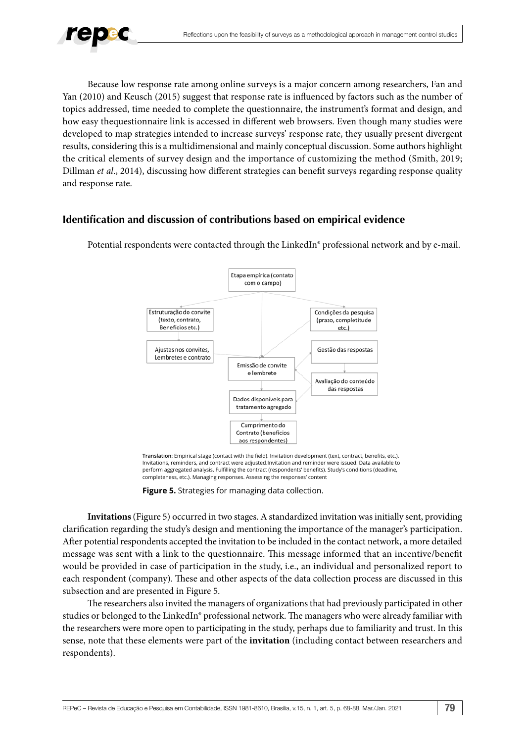

Because low response rate among online surveys is a major concern among researchers, Fan and Yan (2010) and Keusch (2015) suggest that response rate is influenced by factors such as the number of topics addressed, time needed to complete the questionnaire, the instrument's format and design, and how easy thequestionnaire link is accessed in different web browsers. Even though many studies were developed to map strategies intended to increase surveys' response rate, they usually present divergent results, considering this is a multidimensional and mainly conceptual discussion. Some authors highlight the critical elements of survey design and the importance of customizing the method (Smith, 2019; Dillman *et al*., 2014), discussing how different strategies can benefit surveys regarding response quality and response rate.

#### **Identification and discussion of contributions based on empirical evidence**



Potential respondents were contacted through the LinkedIn® professional network and by e-mail.

**Translation:** Empirical stage (contact with the field). Invitation development (text, contract, benefits, etc.). Invitations, reminders, and contract were adjusted.Invitation and reminder were issued. Data available to perform aggregated analysis. Fulfilling the contract (respondents' benefits). Study's conditions (deadline, completeness, etc.). Managing responses. Assessing the responses' content

**Figure 5.** Strategies for managing data collection.

**Invitations** (Figure 5) occurred in two stages. A standardized invitation was initially sent, providing clarification regarding the study's design and mentioning the importance of the manager's participation. After potential respondents accepted the invitation to be included in the contact network, a more detailed message was sent with a link to the questionnaire. This message informed that an incentive/benefit would be provided in case of participation in the study, i.e., an individual and personalized report to each respondent (company). These and other aspects of the data collection process are discussed in this subsection and are presented in Figure 5.

The researchers also invited the managers of organizations that had previously participated in other studies or belonged to the LinkedIn<sup>®</sup> professional network. The managers who were already familiar with the researchers were more open to participating in the study, perhaps due to familiarity and trust. In this sense, note that these elements were part of the **invitation** (including contact between researchers and respondents).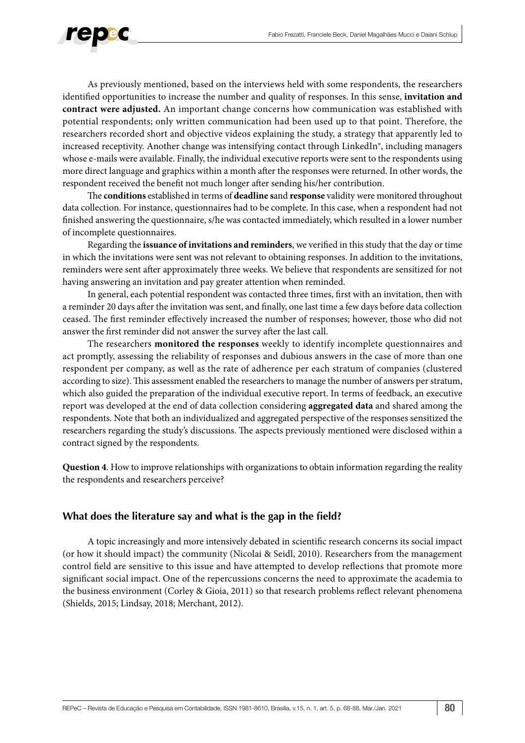

As previously mentioned, based on the interviews held with some respondents, the researchers identified opportunities to increase the number and quality of responses. In this sense, **invitation and contract were adjusted.** An important change concerns how communication was established with potential respondents; only written communication had been used up to that point. Therefore, the researchers recorded short and objective videos explaining the study, a strategy that apparently led to increased receptivity. Another change was intensifying contact through LinkedIn®, including managers whose e-mails were available. Finally, the individual executive reports were sent to the respondents using more direct language and graphics within a month after the responses were returned. In other words, the respondent received the benefit not much longer after sending his/her contribution.

The **conditions** established in terms of **deadline s**and **response** validity were monitored throughout data collection. For instance, questionnaires had to be complete. In this case, when a respondent had not finished answering the questionnaire, s/he was contacted immediately, which resulted in a lower number of incomplete questionnaires.

Regarding the **issuance of invitations and reminders**, we verified in this study that the day or time in which the invitations were sent was not relevant to obtaining responses. In addition to the invitations, reminders were sent after approximately three weeks. We believe that respondents are sensitized for not having answering an invitation and pay greater attention when reminded.

In general, each potential respondent was contacted three times, first with an invitation, then with a reminder 20 days after the invitation was sent, and finally, one last time a few days before data collection ceased. The first reminder effectively increased the number of responses; however, those who did not answer the first reminder did not answer the survey after the last call.

The researchers **monitored the responses** weekly to identify incomplete questionnaires and act promptly, assessing the reliability of responses and dubious answers in the case of more than one respondent per company, as well as the rate of adherence per each stratum of companies (clustered according to size). This assessment enabled the researchers to manage the number of answers per stratum, which also guided the preparation of the individual executive report. In terms of feedback, an executive report was developed at the end of data collection considering **aggregated data** and shared among the respondents. Note that both an individualized and aggregated perspective of the responses sensitized the researchers regarding the study's discussions. The aspects previously mentioned were disclosed within a contract signed by the respondents.

**Question 4**. How to improve relationships with organizations to obtain information regarding the reality the respondents and researchers perceive?

#### **What does the literature say and what is the gap in the field?**

A topic increasingly and more intensively debated in scientific research concerns its social impact (or how it should impact) the community (Nicolai & Seidl, 2010). Researchers from the management control field are sensitive to this issue and have attempted to develop reflections that promote more significant social impact. One of the repercussions concerns the need to approximate the academia to the business environment (Corley & Gioia, 2011) so that research problems reflect relevant phenomena (Shields, 2015; Lindsay, 2018; Merchant, 2012).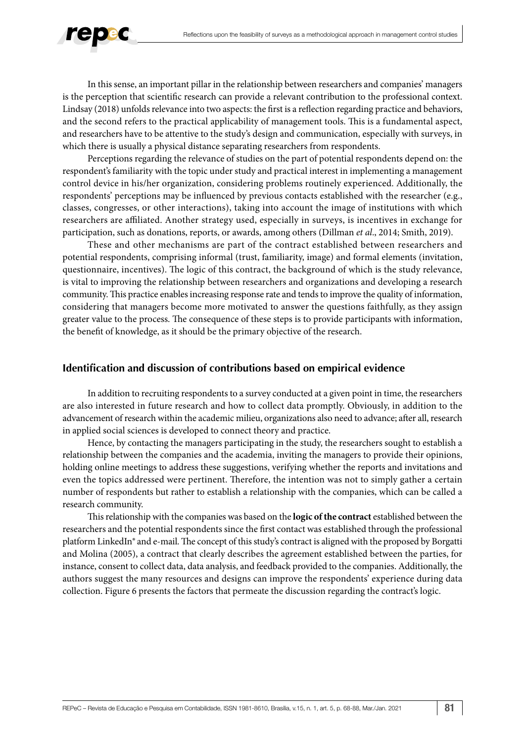

In this sense, an important pillar in the relationship between researchers and companies' managers is the perception that scientific research can provide a relevant contribution to the professional context. Lindsay (2018) unfolds relevance into two aspects: the first is a reflection regarding practice and behaviors, and the second refers to the practical applicability of management tools. This is a fundamental aspect, and researchers have to be attentive to the study's design and communication, especially with surveys, in which there is usually a physical distance separating researchers from respondents.

Perceptions regarding the relevance of studies on the part of potential respondents depend on: the respondent's familiarity with the topic under study and practical interest in implementing a management control device in his/her organization, considering problems routinely experienced. Additionally, the respondents' perceptions may be influenced by previous contacts established with the researcher (e.g., classes, congresses, or other interactions), taking into account the image of institutions with which researchers are affiliated. Another strategy used, especially in surveys, is incentives in exchange for participation, such as donations, reports, or awards, among others (Dillman *et al*., 2014; Smith, 2019).

These and other mechanisms are part of the contract established between researchers and potential respondents, comprising informal (trust, familiarity, image) and formal elements (invitation, questionnaire, incentives). The logic of this contract, the background of which is the study relevance, is vital to improving the relationship between researchers and organizations and developing a research community. This practice enables increasing response rate and tends to improve the quality of information, considering that managers become more motivated to answer the questions faithfully, as they assign greater value to the process. The consequence of these steps is to provide participants with information, the benefit of knowledge, as it should be the primary objective of the research.

#### **Identification and discussion of contributions based on empirical evidence**

In addition to recruiting respondents to a survey conducted at a given point in time, the researchers are also interested in future research and how to collect data promptly. Obviously, in addition to the advancement of research within the academic milieu, organizations also need to advance; after all, research in applied social sciences is developed to connect theory and practice.

Hence, by contacting the managers participating in the study, the researchers sought to establish a relationship between the companies and the academia, inviting the managers to provide their opinions, holding online meetings to address these suggestions, verifying whether the reports and invitations and even the topics addressed were pertinent. Therefore, the intention was not to simply gather a certain number of respondents but rather to establish a relationship with the companies, which can be called a research community.

This relationship with the companies was based on the **logic of the contract** established between the researchers and the potential respondents since the first contact was established through the professional platform LinkedIn® and e-mail. The concept of this study's contract is aligned with the proposed by Borgatti and Molina (2005), a contract that clearly describes the agreement established between the parties, for instance, consent to collect data, data analysis, and feedback provided to the companies. Additionally, the authors suggest the many resources and designs can improve the respondents' experience during data collection. Figure 6 presents the factors that permeate the discussion regarding the contract's logic.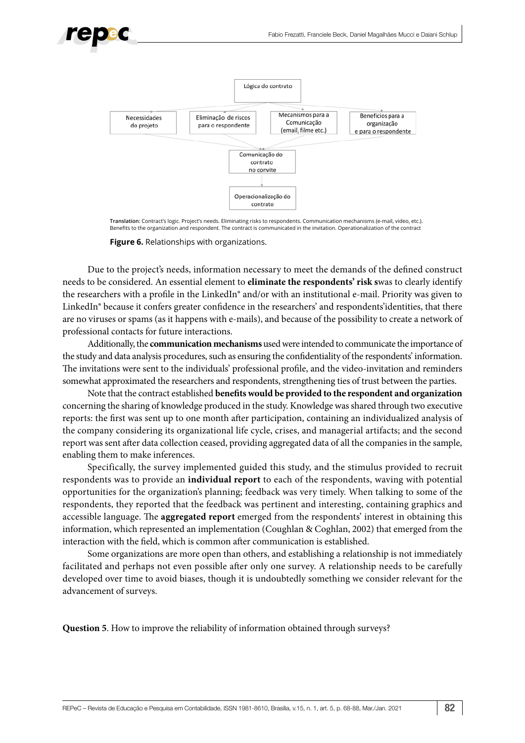



**Translation:** Contract's logic. Project's needs. Eliminating risks to respondents. Communication mechanisms (e-mail, video, etc.). Benefits to the organization and respondent. The contract is communicated in the invitation. Operationalization of the contract

**Figure 6.** Relationships with organizations.

Due to the project's needs, information necessary to meet the demands of the defined construct needs to be considered. An essential element to **eliminate the respondents' risk s**was to clearly identify the researchers with a profile in the LinkedIn® and/or with an institutional e-mail. Priority was given to LinkedIn® because it confers greater confidence in the researchers' and respondents'identities, that there are no viruses or spams (as it happens with e-mails), and because of the possibility to create a network of professional contacts for future interactions.

Additionally, the **communication mechanisms** used were intended to communicate the importance of the study and data analysis procedures, such as ensuring the confidentiality of the respondents' information. The invitations were sent to the individuals' professional profile, and the video-invitation and reminders somewhat approximated the researchers and respondents, strengthening ties of trust between the parties.

Note that the contract established **benefits would be provided to the respondent and organization**  concerning the sharing of knowledge produced in the study. Knowledge was shared through two executive reports: the first was sent up to one month after participation, containing an individualized analysis of the company considering its organizational life cycle, crises, and managerial artifacts; and the second report was sent after data collection ceased, providing aggregated data of all the companies in the sample, enabling them to make inferences.

Specifically, the survey implemented guided this study, and the stimulus provided to recruit respondents was to provide an **individual report** to each of the respondents, waving with potential opportunities for the organization's planning; feedback was very timely. When talking to some of the respondents, they reported that the feedback was pertinent and interesting, containing graphics and accessible language. The **aggregated report** emerged from the respondents' interest in obtaining this information, which represented an implementation (Coughlan & Coghlan, 2002) that emerged from the interaction with the field, which is common after communication is established.

Some organizations are more open than others, and establishing a relationship is not immediately facilitated and perhaps not even possible after only one survey. A relationship needs to be carefully developed over time to avoid biases, though it is undoubtedly something we consider relevant for the advancement of surveys.

**Question 5**. How to improve the reliability of information obtained through surveys?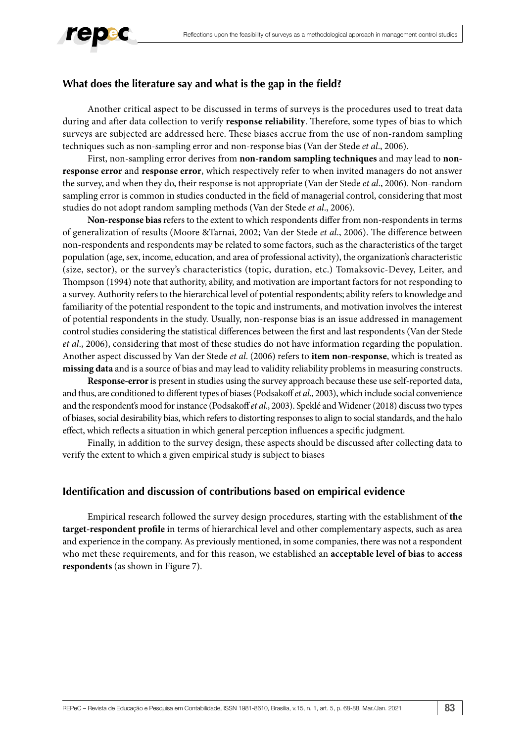

## **What does the literature say and what is the gap in the field?**

Another critical aspect to be discussed in terms of surveys is the procedures used to treat data during and after data collection to verify **response reliability**. Therefore, some types of bias to which surveys are subjected are addressed here. These biases accrue from the use of non-random sampling techniques such as non-sampling error and non-response bias (Van der Stede *et al*., 2006).

First, non-sampling error derives from **non-random sampling techniques** and may lead to **nonresponse error** and **response error**, which respectively refer to when invited managers do not answer the survey, and when they do, their response is not appropriate (Van der Stede *et al*., 2006). Non-random sampling error is common in studies conducted in the field of managerial control, considering that most studies do not adopt random sampling methods (Van der Stede *et al*., 2006).

**Non-response bias** refers to the extent to which respondents differ from non-respondents in terms of generalization of results (Moore &Tarnai, 2002; Van der Stede *et al*., 2006). The difference between non-respondents and respondents may be related to some factors, such as the characteristics of the target population (age, sex, income, education, and area of professional activity), the organization's characteristic (size, sector), or the survey's characteristics (topic, duration, etc.) Tomaksovic-Devey, Leiter, and Thompson (1994) note that authority, ability, and motivation are important factors for not responding to a survey. Authority refers to the hierarchical level of potential respondents; ability refers to knowledge and familiarity of the potential respondent to the topic and instruments, and motivation involves the interest of potential respondents in the study. Usually, non-response bias is an issue addressed in management control studies considering the statistical differences between the first and last respondents (Van der Stede *et al*., 2006), considering that most of these studies do not have information regarding the population. Another aspect discussed by Van der Stede *et al*. (2006) refers to **item non-response**, which is treated as **missing data** and is a source of bias and may lead to validity reliability problems in measuring constructs.

**Response-error** is present in studies using the survey approach because these use self-reported data, and thus, are conditioned to different types of biases (Podsakoff *et al*., 2003), which include social convenience and the respondent's mood for instance (Podsakoff *et al*., 2003). Speklé and Widener (2018) discuss two types of biases, social desirability bias, which refers to distorting responses to align to social standards, and the halo effect, which reflects a situation in which general perception influences a specific judgment.

Finally, in addition to the survey design, these aspects should be discussed after collecting data to verify the extent to which a given empirical study is subject to biases

#### **Identification and discussion of contributions based on empirical evidence**

Empirical research followed the survey design procedures, starting with the establishment of **the target-respondent profile** in terms of hierarchical level and other complementary aspects, such as area and experience in the company. As previously mentioned, in some companies, there was not a respondent who met these requirements, and for this reason, we established an **acceptable level of bias** to **access respondents** (as shown in Figure 7).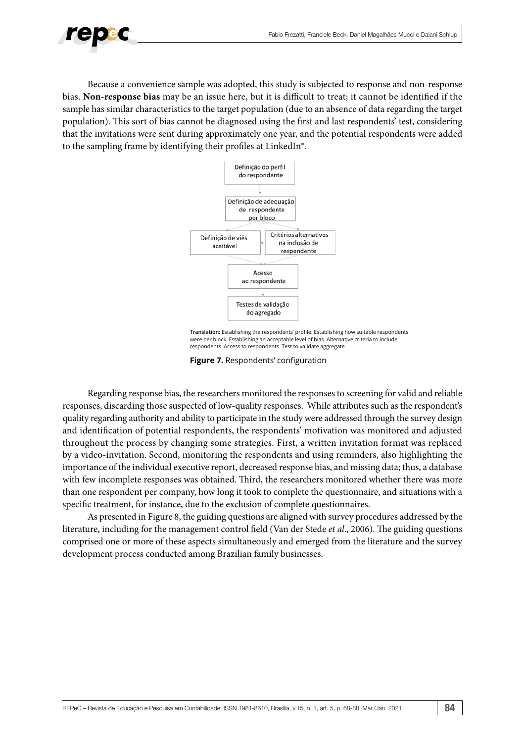

Because a convenience sample was adopted, this study is subjected to response and non-response bias. **Non-response bias** may be an issue here, but it is difficult to treat; it cannot be identified if the sample has similar characteristics to the target population (due to an absence of data regarding the target population). This sort of bias cannot be diagnosed using the first and last respondents' test, considering that the invitations were sent during approximately one year, and the potential respondents were added to the sampling frame by identifying their profiles at LinkedIn®.



**Translation:** Establishing the respondents' profile. Establishing how suitable respondents were per block. Establishing an acceptable level of bias. Alternative criteria to include respondents. Access to respondents. Test to validate aggregate

**Figure 7.** Respondents' configuration

Regarding response bias, the researchers monitored the responses to screening for valid and reliable responses, discarding those suspected of low-quality responses. While attributes such as the respondent's quality regarding authority and ability to participate in the study were addressed through the survey design and identification of potential respondents, the respondents' motivation was monitored and adjusted throughout the process by changing some strategies. First, a written invitation format was replaced by a video-invitation. Second, monitoring the respondents and using reminders, also highlighting the importance of the individual executive report, decreased response bias, and missing data; thus, a database with few incomplete responses was obtained. Third, the researchers monitored whether there was more than one respondent per company, how long it took to complete the questionnaire, and situations with a specific treatment, for instance, due to the exclusion of complete questionnaires.

As presented in Figure 8, the guiding questions are aligned with survey procedures addressed by the literature, including for the management control field (Van der Stede *et al*., 2006). The guiding questions comprised one or more of these aspects simultaneously and emerged from the literature and the survey development process conducted among Brazilian family businesses.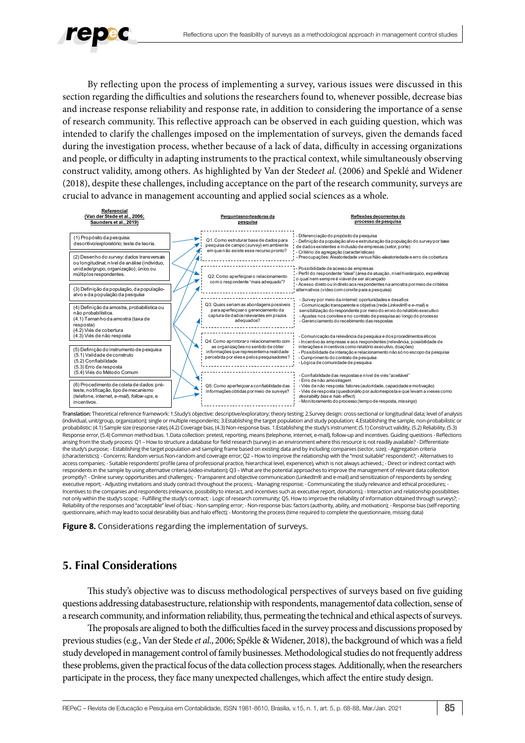

By reflecting upon the process of implementing a survey, various issues were discussed in this section regarding the difficulties and solutions the researchers found to, whenever possible, decrease bias and increase response reliability and response rate, in addition to considering the importance of a sense of research community. This reflective approach can be observed in each guiding question, which was intended to clarify the challenges imposed on the implementation of surveys, given the demands faced during the investigation process, whether because of a lack of data, difficulty in accessing organizations and people, or difficulty in adapting instruments to the practical context, while simultaneously observing construct validity, among others. As highlighted by Van der Stede*et al*. (2006) and Speklé and Widener (2018), despite these challenges, including acceptance on the part of the research community, surveys are crucial to advance in management accounting and applied social sciences as a whole.



**Translation:** Theoretical reference framework: 1.Study's objective: descriptive/exploratory; theory testing; 2.Survey design: cross-sectional or longitudinal data; level of analysis (individual, unit/group, organization); single or multiple respondents; 3.Establishing the target population and study population; 4.Establishing the sample, non-probabilistic or probabilistic: (4.1) Sample size (response rate), (4.2) Coverage bias, (4.3) Non-response bias. 1.Establishing the study's instrument: (5.1) Construct validity, (5.2) Reliability, (5.3) Response error, (5.4) Common method bias. 1.Data collection: pretest, reporting, means (telephone, internet, e-mail), follow-up and incentives. Guiding questions - Reflections arising from the study process: Q1 – How to structure a database for field research (survey) in an environment where this resource is not readily available? - Differentiate the study's purpose; - Establishing the target population and sampling frame based on existing data and by including companies (sector, size); - Aggregation criteria (characteristics); - Concerns: Random versus Non-random and coverage error; Q2 – How to improve the relationship with the "most suitable" respondent?; - Alternatives to access companies; - Suitable respondents' profile (area of professional practice, hierarchical level, experience), which is not always achieved.; - Direct or indirect contact with respondents in the sample by using alternative criteria (video-invitation); Q3 – What are the potential approaches to improve the management of relevant data collection promptly?: - Online survey: opportunities and challenges; - Transparent and objective communication (LinkedIn® and e-mail) and sensitization of respondents by sending executive report; - Adjusting invitations and study contract throughout the process; - Managing response; - Communicating the study relevance and ethical procedures; - Incentives to the companies and respondents (relevance, possibility to interact, and incentives such as executive report, donations); - Interaction and relationship possibilities not only within the study's scope; - Fulfilling the study's contract; - Logic of research community; Q5. How to improve the reliability of information obtained through surveys?; -Reliability of the responses and "acceptable" level of bias; - Non-sampling error; - Non-response bias: factors (authority, ability, and motivation); - Response bias (self-reporting questionnaire, which may lead to social desirability bias and halo effect); - Monitoring the process (time required to complete the questionnaire, missing data)



# **5. Final Considerations**

This study's objective was to discuss methodological perspectives of surveys based on five guiding questions addressing databasestructure, relationship with respondents, managementof data collection, sense of a research community, and information reliability, thus, permeating the technical and ethical aspects of surveys.

The proposals are aligned to both the difficulties faced in the survey process and discussions proposed by previous studies (e.g., Van der Stede *et al*., 2006; Spékle & Widener, 2018), the background of which was a field study developed in management control of family businesses. Methodological studies do not frequently address these problems, given the practical focus of the data collection process stages. Additionally, when the researchers participate in the process, they face many unexpected challenges, which affect the entire study design.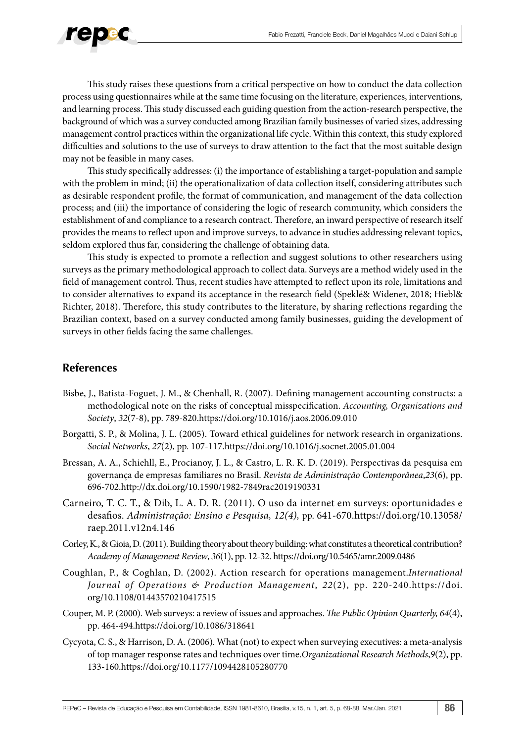

This study raises these questions from a critical perspective on how to conduct the data collection process using questionnaires while at the same time focusing on the literature, experiences, interventions, and learning process. This study discussed each guiding question from the action-research perspective, the background of which was a survey conducted among Brazilian family businesses of varied sizes, addressing management control practices within the organizational life cycle. Within this context, this study explored difficulties and solutions to the use of surveys to draw attention to the fact that the most suitable design may not be feasible in many cases.

This study specifically addresses: (i) the importance of establishing a target-population and sample with the problem in mind; (ii) the operationalization of data collection itself, considering attributes such as desirable respondent profile, the format of communication, and management of the data collection process; and (iii) the importance of considering the logic of research community, which considers the establishment of and compliance to a research contract. Therefore, an inward perspective of research itself provides the means to reflect upon and improve surveys, to advance in studies addressing relevant topics, seldom explored thus far, considering the challenge of obtaining data.

This study is expected to promote a reflection and suggest solutions to other researchers using surveys as the primary methodological approach to collect data. Surveys are a method widely used in the field of management control. Thus, recent studies have attempted to reflect upon its role, limitations and to consider alternatives to expand its acceptance in the research field (Speklé& Widener, 2018; Hiebl& Richter, 2018). Therefore, this study contributes to the literature, by sharing reflections regarding the Brazilian context, based on a survey conducted among family businesses, guiding the development of surveys in other fields facing the same challenges.

# **References**

- Bisbe, J., Batista-Foguet, J. M., & Chenhall, R. (2007). Defining management accounting constructs: a methodological note on the risks of conceptual misspecification. *Accounting, Organizations and Society*, *32*(7-8), pp. 789-820.https://doi.org/10.1016/j.aos.2006.09.010
- Borgatti, S. P., & Molina, J. L. (2005). Toward ethical guidelines for network research in organizations. *Social Networks*, *27*(2), pp. 107-117.https://doi.org/10.1016/j.socnet.2005.01.004
- Bressan, A. A., Schiehll, E., Procianoy, J. L., & Castro, L. R. K. D. (2019). Perspectivas da pesquisa em governança de empresas familiares no Brasil. *Revista de Administração Contemporânea*,*23*(6), pp. 696-702.http://dx.doi.org/10.1590/1982-7849rac2019190331
- Carneiro, T. C. T., & Dib, L. A. D. R. (2011). O uso da internet em surveys: oportunidades e desafios. *Administração: Ensino e Pesquisa, 12(4),* pp. 641-670.https://doi.org/10.13058/ raep.2011.v12n4.146
- Corley, K., & Gioia, D. (2011). Building theory about theory building: what constitutes a theoretical contribution? *Academy of Management Review*, *36*(1), pp. 12-32. https://doi.org/10.5465/amr.2009.0486
- Coughlan, P., & Coghlan, D. (2002). Action research for operations management.*International Journal of Operations & Production Management*, *22*(2), pp. 220-240.https://doi. org/10.1108/01443570210417515
- Couper, M. P. (2000). Web surveys: a review of issues and approaches. *The Public Opinion Quarterly, 64*(4), pp. 464-494.https://doi.org/10.1086/318641
- Cycyota, C. S., & Harrison, D. A. (2006). What (not) to expect when surveying executives: a meta-analysis of top manager response rates and techniques over time.*Organizational Research Methods*,*9*(2), pp. 133-160.https://doi.org/10.1177/1094428105280770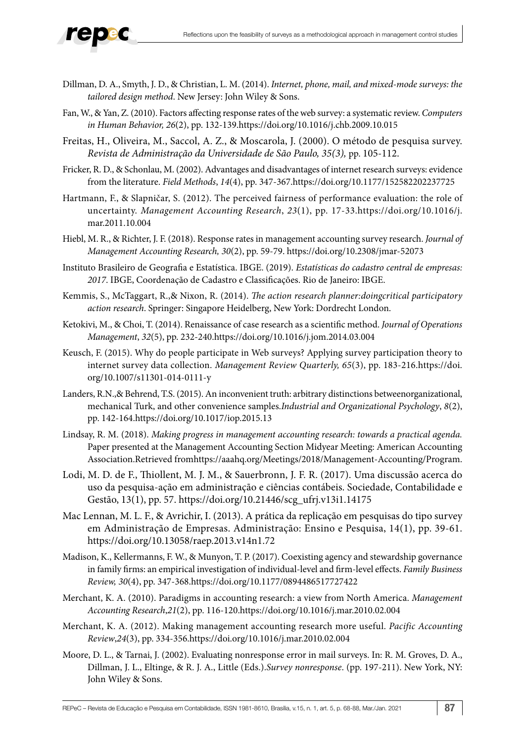

- Dillman, D. A., Smyth, J. D., & Christian, L. M. (2014). *Internet, phone, mail, and mixed-mode surveys: the tailored design method*. New Jersey: John Wiley & Sons.
- Fan, W., & Yan, Z. (2010). Factors affecting response rates of the web survey: a systematic review. *Computers in Human Behavior, 26*(2), pp. 132-139.https://doi.org/10.1016/j.chb.2009.10.015
- Freitas, H., Oliveira, M., Saccol, A. Z., & Moscarola, J. (2000). O método de pesquisa survey. *Revista de Administração da Universidade de São Paulo, 35(3),* pp. 105-112.
- Fricker, R. D., & Schonlau, M. (2002). Advantages and disadvantages of internet research surveys: evidence from the literature. *Field Methods*, *14*(4), pp. 347-367.https://doi.org/10.1177/152582202237725
- Hartmann, F., & Slapničar, S. (2012). The perceived fairness of performance evaluation: the role of uncertainty. *Management Accounting Research*, *23*(1), pp. 17-33.https://doi.org/10.1016/j. mar.2011.10.004
- Hiebl, M. R., & Richter, J. F. (2018). Response rates in management accounting survey research. *Journal of Management Accounting Research, 30*(2), pp. 59-79. https://doi.org/10.2308/jmar-52073
- Instituto Brasileiro de Geografia e Estatística. IBGE. (2019). *Estatísticas do cadastro central de empresas: 2017*. IBGE, Coordenação de Cadastro e Classificações. Rio de Janeiro: IBGE.
- Kemmis, S., McTaggart, R.,& Nixon, R. (2014). *The action research planner:doingcritical participatory action research*. Springer: Singapore Heidelberg, New York: Dordrecht London.
- Ketokivi, M., & Choi, T. (2014). Renaissance of case research as a scientific method. *Journal of Operations Management*, *32*(5), pp. 232-240.https://doi.org/10.1016/j.jom.2014.03.004
- Keusch, F. (2015). Why do people participate in Web surveys? Applying survey participation theory to internet survey data collection. *Management Review Quarterly, 65*(3), pp. 183-216.https://doi. org/10.1007/s11301-014-0111-y
- Landers, R.N.,& Behrend, T.S. (2015). An inconvenient truth: arbitrary distinctions betweenorganizational, mechanical Turk, and other convenience samples.*Industrial and Organizational Psychology*, *8*(2), pp. 142-164.https://doi.org/10.1017/iop.2015.13
- Lindsay, R. M. (2018). *Making progress in management accounting research: towards a practical agenda.* Paper presented at the Management Accounting Section Midyear Meeting: American Accounting Association.Retrieved from[https://aaahq.org/Meetings/2018/Management-Accounting/Program.](https://aaahq.org/Meetings/2018/Management-Accounting/Program)
- Lodi, M. D. de F., Thiollent, M. J. M., & Sauerbronn, J. F. R. (2017). Uma discussão acerca do uso da pesquisa-ação em administração e ciências contábeis. Sociedade, Contabilidade e Gestão, 13(1), pp. 57. https://doi.org/10.21446/scg\_ufrj.v13i1.14175
- Mac Lennan, M. L. F., & Avrichir, I. (2013). A prática da replicação em pesquisas do tipo survey em Administração de Empresas. Administração: Ensino e Pesquisa, 14(1), pp. 39-61. https://doi.org/10.13058/raep.2013.v14n1.72
- Madison, K., Kellermanns, F. W., & Munyon, T. P. (2017). Coexisting agency and stewardship governance in family firms: an empirical investigation of individual-level and firm-level effects. *Family Business Review, 30*(4), pp. 347-368.https://doi.org/10.1177/0894486517727422
- Merchant, K. A. (2010). Paradigms in accounting research: a view from North America. *Management Accounting Research*,*21*(2), pp. 116-120.https://doi.org/10.1016/j.mar.2010.02.004
- Merchant, K. A. (2012). Making management accounting research more useful. *Pacific Accounting Review*,*24*(3), pp. 334-356.https://doi.org/10.1016/j.mar.2010.02.004
- Moore, D. L., & Tarnai, J. (2002). Evaluating nonresponse error in mail surveys. In: R. M. Groves, D. A., Dillman, J. L., Eltinge, & R. J. A., Little (Eds.).*Survey nonresponse*. (pp. 197-211). New York, NY: John Wiley & Sons.

REPeC – Revista de Educação e Pesquisa em Contabilidade, ISSN 1981-8610, Brasília, v.15, n. 1, art. 5, p. 68-88, Mar./Jan. 2021 87